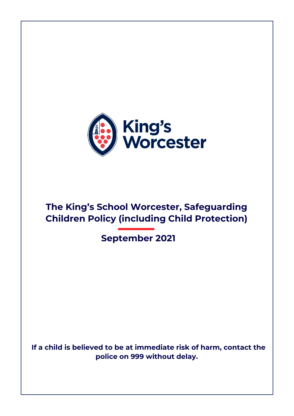

# **The King's School Worcester, Safeguarding Children Policy (including Child Protection)**

 **September 2021**

 **If a child is believed to be at immediate risk of harm, contact the police on 999 without delay.**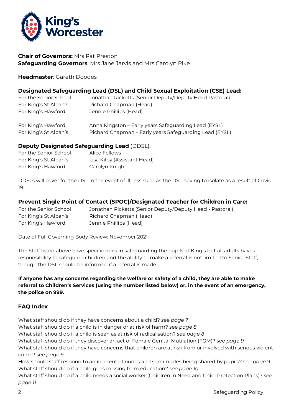

#### **Chair of Governors:** Mrs Pat Preston **Safeguarding Governors**: Mrs Jane Jarvis and Mrs Carolyn Pike

#### **Headmaster**: Gareth Doodes

#### **Designated Safeguarding Lead (DSL) and Child Sexual Exploitation (CSE) Lead:**

| For the Senior School                       | Jonathan Ricketts (Senior Deputy/Deputy Head Pastoral)                                                         |
|---------------------------------------------|----------------------------------------------------------------------------------------------------------------|
| For King's St Alban's                       | Richard Chapman (Head)                                                                                         |
| For King's Hawford                          | Jennie Phillips (Head)                                                                                         |
| For King's Hawford<br>For King's St Alban's | Anna Kingston - Early years Safeguarding Lead (EYSL)<br>Richard Chapman – Early years Safeguarding Lead (EYSL) |

#### **Deputy Designated Safeguarding Lead** (DDSL):

| For the Senior School | Alice Fellows               |
|-----------------------|-----------------------------|
| For King's St Alban's | Lisa Kilby (Assistant Head) |
| For King's Hawford    | Carolyn Knight              |

DDSLs will cover for the DSL in the event of illness such as the DSL having to isolate as a result of Covid 19.

#### **Prevent Single Point of Contact (SPOC)/Designated Teacher for Children in Care:**

| For the Senior School | Jonathan Ricketts (Senior Deputy/Deputy Head - Pastoral) |
|-----------------------|----------------------------------------------------------|
| For King's St Alban's | Richard Chapman (Head)                                   |
| For King's Hawford    | Jennie Phillips (Head)                                   |

Date of Full Governing Body Review: November 2021

The Staff listed above have specific roles in safeguarding the pupils at King's but all adults have a responsibility to safeguard children and the ability to make a referral is not limited to Senior Staff, though the DSL should be informed if a referral is made.

#### **If anyone has any concerns regarding the welfare or safety of a child, they are able to make referral to Children's Services (using the number listed below) or, in the event of an emergency, the police on 999.**

#### **FAQ Index**

What staff should do if they have concerns about a child? *see page 7* What staff should do if a child is in danger or at risk of harm? *see page 8* What staff should do if a child is seen as at risk of radicalisation? *see page 8* What staff should do if they discover an act of Female Genital Mutilation (FGM)? *see page 9* What staff should do if they have concerns that children are at risk from or involved with serious violent crime? *see page 9* How should staff respond to an incident of nudes and semi-nudes being shared by pupils? *see page 9* What staff should do if a child goes missing from education? *see page 10*

What staff should do if a child needs a social worker (Children in Need and Child Protection Plans)? *see page 11*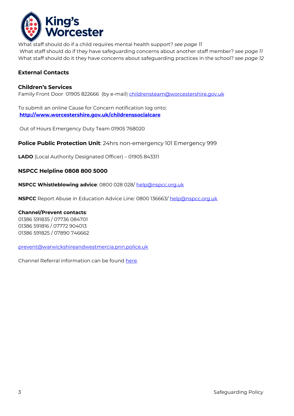

What staff should do if a child requires mental health support? *see page 11* What staff should do if they have safeguarding concerns about another staff member? *see page 11* What staff should do it they have concerns about safeguarding practices in the school? *see page 12*

### **External Contacts**

#### **Children's Services**

Family Front Door 01905 822666 (by e-mail) childrensteam@worcestershire.gov.uk

To submit an online Cause for Concern notification log onto: **<http://www.worcestershire.gov.uk/childrenssocialcare>**

Out of Hours Emergency Duty Team 01905 768020

**Police Public Protection Unit**: 24hrs non-emergency 101 Emergency 999

**LADO** (Local Authority Designated Officer) – 01905 843311

#### **NSPCC Helpline 0808 800 5000**

**NSPCC Whistleblowing advice**: 0800 028 028/ help@nspcc.org.uk

**NSPCC** Report Abuse in Education Advice Line: 0800 136663/ help@nspcc.org.uk

#### **Channel/Prevent contacts**:

01386 591835 / 07736 084701 01386 591816 / 07772 904013 01386 591825 / 07890 746662

prevent@warwickshireandwestmercia.pnn.police.uk

Channel Referral information can be found [here.](https://www.worcestershire.gov.uk/downloads/file/7583/prevention_of_extremism_and_radicalisation_-_referral_process)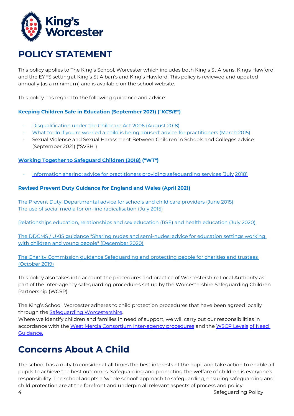

### **POLICY STATEMENT**

This policy applies to The King's School, Worcester which includes both King's St Albans, Kings Hawford, and the EYFS settingat King's St Alban's and King's Hawford. This policy is reviewed and updated annually (as a minimum) and is available on the school website.

This policy has regard to the following guidance and advice:

**[Keeping Children Safe in Education \(September 2021\) \("](https://www.gov.uk/government/publications/keeping-children-safe-in-education--2)***[KCSIE"](https://www.gov.uk/government/publications/keeping-children-safe-in-education--2)***[\)](https://www.gov.uk/government/publications/keeping-children-safe-in-education--2)**

- [Disqualification under the Childcare Act 2006 \(August 2018\)](https://www.gov.uk/government/publications/disqualification-under-the-childcare-act-2006/disqualification-under-the-childcare-act-2006)
- What to do if you're worried [a child is being abused: advice for practitioners \(March](https://www.gov.uk/government/publications/what-to-do-if-youre-worried-a-child-is-being-abused--2) [2015\)](https://www.gov.uk/government/publications/what-to-do-if-youre-worried-a-child-is-being-abused--2)
- [Sexual Violence and Sexual Harassment Between Children in Schools and Colleges advice](https://assets.publishing.service.gov.uk/government/uploads/system/uploads/attachment_data/file/1007260/Keeping_children_safe_in_education_2021.pdf)  [\(September 2021\) \("SVSH"\)](https://assets.publishing.service.gov.uk/government/uploads/system/uploads/attachment_data/file/1007260/Keeping_children_safe_in_education_2021.pdf)

#### **[Working Together to Safeguard Children \(2018\)](https://www.gov.uk/government/publications/working-together-to-safeguard-children--2) ("WT")**

• [Information sharing: advice for practitioners providing safeguarding services \(July](https://www.gov.uk/government/publications/safeguarding-practitioners-information-sharing-advice) [2018\)](https://www.gov.uk/government/publications/safeguarding-practitioners-information-sharing-advice)

#### **Revised Prevent Duty Guidance for England and Wales (April 2021)**

[The Prevent Duty: Departmental advice for schools and child care providers \(June](https://www.gov.uk/government/publications/protecting-children-from-radicalisation-the-prevent-duty) [2015\)](https://www.gov.uk/government/publications/protecting-children-from-radicalisation-the-prevent-duty) [The use of social media for on-line radicalisation \(July 2015\)](https://www.gov.uk/government/publications/the-use-of-social-media-for-online-radicalisation)

[Relationships education, relationships and sex education \(RSE\) and health education \(July 2020\)](https://www.gov.uk/government/publications/relationships-education-relationships-and-sex-education-rse-and-health-education)

[The DDCMS / UKIS guidance "Sharing nudes and semi-nudes: advice for education settings working](https://www.gov.uk/government/publications/sharing-nudes-and-semi-nudes-advice-for-education-settings-working-with-children-and-young-people)  [with children and young people" \(December 2020\)](https://www.gov.uk/government/publications/sharing-nudes-and-semi-nudes-advice-for-education-settings-working-with-children-and-young-people)

[The Charity Commission guidance Safeguarding and protecting people for charities and trustees](https://charitycommission.blog.gov.uk/2019/10/22/safeguarding-and-protecting-people-for-charities-and-trustees-updates-to-guidance/)  [\(October 2019\)](https://charitycommission.blog.gov.uk/2019/10/22/safeguarding-and-protecting-people-for-charities-and-trustees-updates-to-guidance/)

This policy also takes into account the procedures and practice of Worcestershire Local Authority as part of the inter-agency safeguarding procedures set up by the Worcestershire Safeguarding Children Partnership (WCSP).

The King's School, Worcester adheres to child protection procedures that have been agreed locally through the [Safeguarding Worcestershire.](https://www.safeguardingworcestershire.org.uk/)

Where we identify children and families in need of support, we will carry out our responsibilities in accordance with the [West Mercia Consortium inter-agency procedures](https://westmidlands.procedures.org.uk/) [a](https://westmidlands.procedures.org.uk/)nd the [WSCP Levels](http://www.worcestershire.gov.uk/downloads/file/7962/levels_of_need_guidance_formerly_threshold_guidance) [of Need](http://www.worcestershire.gov.uk/downloads/file/7962/levels_of_need_guidance_formerly_threshold_guidance)  [Guidance](http://www.worcestershire.gov.uk/downloads/file/7962/levels_of_need_guidance_formerly_threshold_guidance)**[.](http://www.worcestershire.gov.uk/downloads/file/7962/levels_of_need_guidance_formerly_threshold_guidance)**

### **Concerns About A Child**

The school has a duty to consider at all times the best interests of the pupil and take action to enable all pupils to achieve the best outcomes. Safeguarding and promoting the welfare of children is everyone's responsibility. The school adopts a 'whole school' approach to safeguarding, ensuring safeguarding and child protection are at the forefront and underpin all relevant aspects of process and policy

4 Safeguarding Policy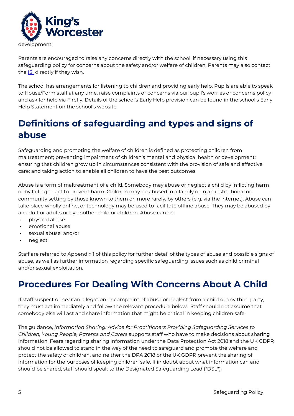

Parents are encouraged to raise any concerns directly with the school, if necessary using this safeguarding policy for concerns about the safety and/or welfare of children. Parents may also contact the **ISI** directly if they wish.

The school has arrangements for listening to children and providing early help. Pupils are able to speak to House/Form staff at any time, raise complaints or concerns via our pupil's worries or concerns policy and ask for help via Firefly. Details of the school's Early Help provision can be found in the school's Early Help Statement on the school's website.

### **Definitions of safeguarding and types and signs of abuse**

Safeguarding and promoting the welfare of children is defined as protecting children from maltreatment; preventing impairment of children's mental and physical health or development; ensuring that children grow up in circumstances consistent with the provision of safe and effective care; and taking action to enable all children to have the best outcomes.

Abuse is a form of maltreatment of a child. Somebody may abuse or neglect a child by inflicting harm or by failing to act to prevent harm. Children may be abused in a family or in an institutional or community setting by those known to them or, more rarely, by others (e.g. via the internet). Abuse can take place wholly online, or technology may be used to facilitate offline abuse. They may be abused by an adult or adults or by another child or children. Abuse can be:

- physical abuse
- emotional abuse
- sexual abuse and/or
- neglect.

Staff are referred to Appendix 1 of this policy for further detail of the types of abuse and possible signs of abuse, as well as further information regarding specific safeguarding issues such as child criminal and/or sexual exploitation.

### **Procedures For Dealing With Concerns About A Child**

If staff suspect or hear an allegation or complaint of abuse or neglect from a child or any third party, they must act immediately and follow the relevant procedure below. Staff should not assume that somebody else will act and share information that might be critical in keeping children safe.

The guidance, *Information Sharing: Advice for Practitioners Providing Safeguarding Services to Children, Young People, Parents and Carers* supports staff who have to make decisions about sharing information. Fears regarding sharing information under the Data Protection Act 2018 and the UK GDPR should not be allowed to stand in the way of the need to safeguard and promote the welfare and protect the safety of children, and neither the DPA 2018 or the UK GDPR prevent the sharing of information for the purposes of keeping children safe. If in doubt about what information can and should be shared, staff should speak to the Designated Safeguarding Lead ("DSL").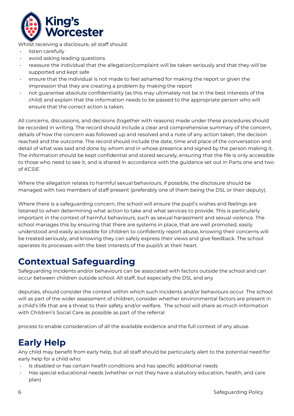

Whilst receiving a disclosure, all staff should:

- listen carefully
- avoid asking leading questions
- reassure the individual that the allegation/complaint will be taken seriously and that they will be supported and kept safe
- ensure that the individual is not made to feel ashamed for making the report or given the impression that they are creating a problem by making the report
- not guarantee absolute confidentiality (as this may ultimately not be in the best interests of the child) and explain that the information needs to be passed to the appropriate person who will ensure that the correct action is taken.

All concerns, discussions, and decisions (together with reasons) made under these procedures should be recorded in writing. The record should include a clear and comprehensive summary of the concern, details of how the concern was followed up and resolved and a note of any action taken, the decision reached and the outcome. The record should include the date, time and place of the conversation and detail of what was said and done by whom and in whose presence and signed by the person making it. The information should be kept confidential and stored securely, ensuring that the file is only accessible to those who need to see it, and is shared in accordance with the guidance set out in Parts one and two of *KCSIE*.

Where the allegation relates to harmful sexual behaviours, if possible, the disclosure should be managed with two members of staff present (preferably one of them being the DSL or their deputy).

Where there is a safeguarding concern, the school will ensure the pupil's wishes and feelings are listened to when determining what action to take and what services to provide. This is particularly important in the context of harmful behaviours, such as sexual harassment and sexual violence. The school manages this by ensuring that there are systems in place, that are well promoted, easily understood and easily accessible for children to confidently report abuse, knowing their concerns will be treated seriously, and knowing they can safely express their views and give feedback. The school operates its processes with the best interests of the pupil/s at their heart.

### **Contextual Safeguarding**

Safeguarding incidents and/or behaviours can be associated with factors outside the school and can occur between children outside school. All staff, but especially the DSL and any

deputies, should consider the context within which such incidents and/or behaviours occur. The school will as part of the wider assessment of children, consider whether environmental factors are present in a child's life that are a threat to their safety and/or welfare. The school will share as much information with Children's Social Care as possible as part of the referral

process to enable consideration of all the available evidence and the full context of any abuse.

### **Early Help**

Any child may benefit from early help, but all staff should be particularly alert to the potential need for early help for a child who:

- Is disabled or has certain health conditions and has specific additional needs
- Has special educational needs (whether or not they have a statutory education, health, and care plan)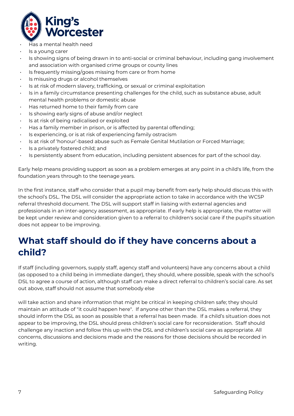

- Has a mental health need
- Is a young carer
- Is showing signs of being drawn in to anti-social or criminal behaviour, including gang involvement and association with organised crime groups or county lines
- Is frequently missing/goes missing from care or from home
- Is misusing drugs or alcohol themselves
- Is at risk of modern slavery, trafficking, or sexual or criminal exploitation
- Is in a family circumstance presenting challenges for the child, such as substance abuse, adult mental health problems or domestic abuse
- Has returned home to their family from care
- Is showing early signs of abuse and/or neglect
- Is at risk of being radicalised or exploited
- Has a family member in prison, or is affected by parental offending;
- Is experiencing, or is at risk of experiencing family ostracism
- Is at risk of 'honour'-based abuse such as Female Genital Mutilation or Forced Marriage;
- Is a privately fostered child; and
- Is persistently absent from education, including persistent absences for part of the school day.

Early help means providing support as soon as a problem emerges at any point in a child's life, from the foundation years through to the teenage years.

In the first instance, staff who consider that a pupil may benefit from early help should discuss this with the school's DSL. The DSL will consider the appropriate action to take in accordance with the WCSP referral threshold document. The DSL will support staff in liaising with external agencies and professionals in an inter-agency assessment, as appropriate. If early help is appropriate, the matter will be kept under review and consideration given to a referral to children's social care if the pupil's situation does not appear to be improving.

### **What staff should do if they have concerns about a child?**

If staff (including governors, supply staff, agency staff and volunteers) have any concerns about a child (as opposed to a child being in immediate danger), they should, where possible, speak with the school's DSL to agree a course of action, although staff can make a direct referral to children's social care. As set out above, staff should not assume that somebody else

will take action and share information that might be critical in keeping children safe; they should maintain an attitude of "it could happen here". If anyone other than the DSL makes a referral, they should inform the DSL as soon as possible that a referral has been made. If a child's situation does not appear to be improving, the DSL should press children's social care for reconsideration. Staff should challenge any inaction and follow this up with the DSL and children's social care as appropriate. All concerns, discussions and decisions made and the reasons for those decisions should be recorded in writing.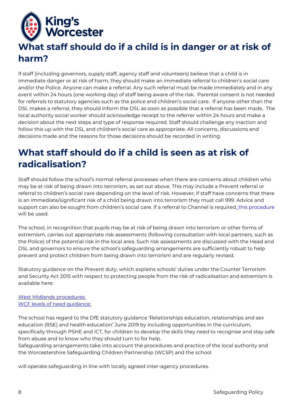

# **What staff should do if a child is in danger or at risk of harm?**

If staff (including governors, supply staff, agency staff and volunteers) believe that a child is in immediate danger or at risk of harm, they should make an immediate referral to children's social care and/or the Police. Anyone can make a referral. Any such referral must be made immediately and in any event within 24 hours (one working day) of staff being aware of the risk. Parental consent is not needed for referrals to statutory agencies such as the police and children's social care. If anyone other than the DSL makes a referral, they should inform the DSL as soon as possible that a referral has been made. The local authority social worker should acknowledge receipt to the referrer within 24 hours and make a decision about the next steps and type of response required. Staff should challenge any inaction and follow this up with the DSL and children's social care as appropriate. All concerns, discussions and decisions made and the reasons for those decisions should be recorded in writing.

### **What staff should do if a child is seen as at risk of radicalisation?**

Staff should follow the school's normal referral processes when there are concerns about children who may be at risk of being drawn into terrorism, as set out above. This may include a Prevent referral or referral to children's social care depending on the level of risk. However, if staff have concerns that there is an immediate/significant risk of a child being drawn into terrorism they must call 999. Advice and support can also be sought from children's social care. If a referral to Channel is required, [this procedure](https://www.worcestershire.gov.uk/downloads/file/7583/prevention_of_extremism_and_radicalisation_-_referral_process) will be used.

The school, in recognition that pupils may be at risk of being drawn into terrorism or other forms of extremism, carries out appropriate risk assessments (following consultation with local partners, such as the Police) of the potential risk in the local area. Such risk assessments are discussed with the Head and DSL and governors to ensure the school's safeguarding arrangements are sufficiently robust to help prevent and protect children from being drawn into terrorism and are regularly revised.

Statutory guidance on the Prevent duty, which explains schools' duties under the Counter Terrorism and Security Act 2015 with respect to protecting people from the risk of radicalisation and extremism is available here:

#### [West Midlands procedures:](https://westmidlands.procedures.org.uk/) [WCF levels of need guidance:](http://www.worcestershire.gov.uk/downloads/file/7962/levels_of_need_guidance_formerly_threshold_guidance)

The school has regard to the DfE statutory guidance 'Relationships education, relationships and sex education (RSE) and health education' June 2019 by including opportunities in the curriculum, specifically through PSHE and ICT, for children to develop the skills they need to recognise and stay safe from abuse and to know who they should turn to for help.

Safeguarding arrangements take into account the procedures and practice of the local authority and the Worcestershire Safeguarding Children Partnership (WCSP) and the school

will operate safeguarding in line with locally agreed inter-agency procedures.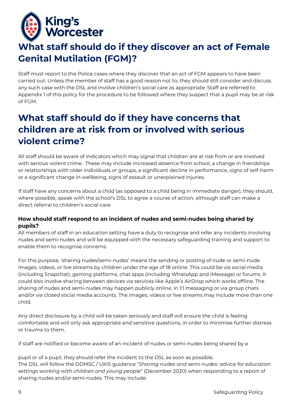

## **What staff should do if they discover an act of Female Genital Mutilation (FGM)?**

Staff must report to the Police cases where they discover that an act of FGM appears to have been carried out. Unless the member of staff has a good reason not to, they should still consider and discuss any such case with the DSL and involve children's social care as appropriate. Staff are referred to Appendix 1 of this policy for the procedure to be followed where they suspect that a pupil may be at risk of FGM.

### **What staff should do if they have concerns that children are at risk from or involved with serious violent crime?**

All staff should be aware of indicators which may signal that children are at risk from or are involved with serious violent crime. These may include increased absence from school, a change in friendships or relationships with older individuals or groups, a significant decline in performance, signs of self-harm or a significant change in wellbeing, signs of assault or unexplained injuries.

If staff have any concerns about a child (as opposed to a child being in immediate danger), they should, where possible, speak with the school's DSL to agree a course of action, although staff can make a direct referral to children's social care.

#### **How should staff respond to an incident of nudes and semi-nudes being shared by pupils?**

All members of staff in an education setting have a duty to recognise and refer any incidents involving nudes and semi-nudes and will be equipped with the necessary safeguarding training and support to enable them to recognise concerns.

For this purpose, 'sharing nudes/semi-nudes' means the sending or posting of nude or semi-nude images, videos, or live streams by children under the age of 18 online. This could be via social media (including Snapchat), gaming platforms, chat apps (including WhatsApp and iMessage) or forums. It could also involve sharing between devices via services like Apple's AirDrop which works offline. The sharing of nudes and semi-nudes may happen publicly online, in 1:1 messaging or via group chats and/or via closed social media accounts. The images, videos or live streams may include more than one child.

Any direct disclosure by a child will be taken seriously and staff will ensure the child is feeling comfortable and will only ask appropriate and sensitive questions, in order to minimise further distress or trauma to them.

If staff are notified or become aware of an incident of nudes or semi-nudes being shared by a

pupil or of a pupil, they should refer the incident to the DSL as soon as possible. The DSL will follow the DDMSC / UKIS guidance "*Sharing nudes and semi-nudes: advice for education settings working with children and young people*" (December 2020) when responding to a report of sharing nudes and/or semi-nudes. This may include: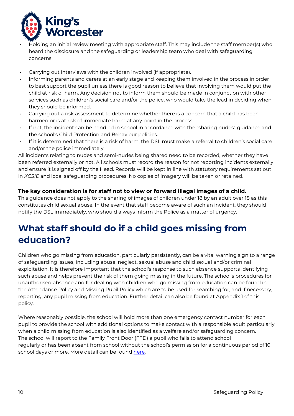

- Holding an initial review meeting with appropriate staff. This may include the staff member(s) who heard the disclosure and the safeguarding or leadership team who deal with safeguarding concerns.
- Carrying out interviews with the children involved (if appropriate).
- Informing parents and carers at an early stage and keeping them involved in the process in order to best support the pupil unless there is good reason to believe that involving them would put the child at risk of harm. Any decision not to inform them should be made in conjunction with other services such as children's social care and/or the police, who would take the lead in deciding when they should be informed.
- Carrying out a risk assessment to determine whether there is a concern that a child has been harmed or is at risk of immediate harm at any point in the process.
- If not, the incident can be handled in school in accordance with the "sharing nudes" guidance and the school's Child Protection and Behaviour policies.
- If it is determined that there is a risk of harm, the DSL must make a referral to children's social care and/or the police immediately.

All incidents relating to nudes and semi-nudes being shared need to be recorded, whether they have been referred externally or not. All schools must record the reason for not reporting incidents externally and ensure it is signed off by the Head. Records will be kept in line with statutory requirements set out in *KCSIE* and local safeguarding procedures. No copies of imagery will be taken or retained.

#### **The key consideration is for staff not to view or forward illegal images of a child.**

This guidance does not apply to the sharing of images of children under 18 by an adult over 18 as this constitutes child sexual abuse. In the event that staff become aware of such an incident, they should notify the DSL immediately, who should always inform the Police as a matter of urgency.

### **What staff should do if a child goes missing from education?**

Children who go missing from education, particularly persistently, can be a vital warning sign to a range of safeguarding issues, including abuse, neglect, sexual abuse and child sexual and/or criminal exploitation. It is therefore important that the school's response to such absence supports identifying such abuse and helps prevent the risk of them going missing in the future. The school's procedures for unauthorised absence and for dealing with children who go missing from education can be found in the Attendance Policy and Missing Pupil Policy which are to be used for searching for, and if necessary, reporting, any pupil missing from education. Further detail can also be found at Appendix 1 of this policy.

Where reasonably possible, the school will hold more than one emergency contact number for each pupil to provide the school with additional options to make contact with a responsible adult particularly when a child missing from education is also identified as a welfare and/or safeguarding concern. The school will report to the Family Front Door (FFD) a pupil who fails to attend school regularly or has been absent from school without the school's permission for a continuous period of 10 school days or more. More detail can be found here.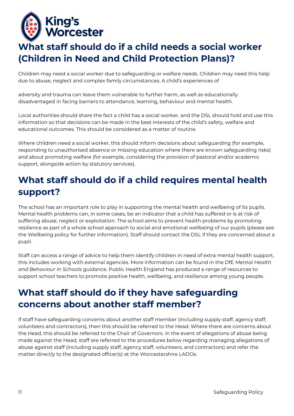

## **What staff should do if a child needs a social worker (Children in Need and Child Protection Plans)?**

Children may need a social worker due to safeguarding or welfare needs. Children may need this help due to abuse, neglect and complex family circumstances. A child's experiences of

adversity and trauma can leave them vulnerable to further harm, as well as educationally disadvantaged in facing barriers to attendance, learning, behaviour and mental health.

Local authorities should share the fact a child has a social worker, and the DSL should hold and use this information so that decisions can be made in the best interests of the child's safety, welfare and educational outcomes. This should be considered as a matter of routine.

Where children need a social worker, this should inform decisions about safeguarding (for example, responding to unauthorised absence or missing education where there are known safeguarding risks) and about promoting welfare (for example, considering the provision of pastoral and/or academic support, alongside action by statutory services).

### **What staff should do if a child requires mental health support?**

The school has an important role to play in supporting the mental health and wellbeing of its pupils. Mental health problems can, in some cases, be an indicator that a child has suffered or is at risk of suffering abuse, neglect or exploitation. The school aims to prevent health problems by promoting resilience as part of a whole school approach to social and emotional wellbeing of our pupils (please see the Wellbeing policy for further information). Staff should contact the DSL if they are concerned about a pupil.

Staff can access a range of advice to help them identify children in need of extra mental health support, this includes working with external agencies. More information can be found in the DfE *Mental Health and Behaviour in Schools* guidance. Public Health England has produced a range of resources to support school teachers to promote positive health, wellbeing, and resilience among young people.

## **What staff should do if they have safeguarding concerns about another staff member?**

If staff have safeguarding concerns about another staff member (including supply staff, agency staff, volunteers and contractors), then this should be referred to the Head. Where there are concerns about the Head, this should be referred to the Chair of Governors. In the event of allegations of abuse being made against the Head, staff are referred to the procedures below regarding managing allegations of abuse against staff (including supply staff, agency staff, volunteers, and contractors) and refer the matter directly to the designated officer(s) at the Worcestershire LADOs.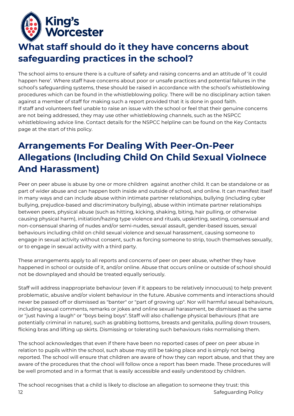

## **What staff should do it they have concerns about safeguarding practices in the school?**

The school aims to ensure there is a culture of safety and raising concerns and an attitude of 'it could happen here'. Where staff have concerns about poor or unsafe practices and potential failures in the school's safeguarding systems, these should be raised in accordance with the school's whistleblowing procedures which can be found in the whistleblowing policy. There will be no disciplinary action taken against a member of staff for making such a report provided that it is done in good faith. If staff and volunteers feel unable to raise an issue with the school or feel that their genuine concerns are not being addressed, they may use other whistleblowing channels, such as the NSPCC whistleblowing advice line. Contact details for the NSPCC helpline can be found on the Key Contacts page at the start of this policy.

# **Arrangements For Dealing With Peer-On-Peer Allegations (Including Child On Child Sexual Violnece And Harassment)**

Peer on peer abuse is abuse by one or more children against another child. It can be standalone or as part of wider abuse and can happen both inside and outside of school, and online. It can manifest itself in many ways and can include abuse within intimate partner relationships, bullying (including cyber bullying, prejudice-based and discriminatory bullying), abuse within intimate partner relationships between peers, physical abuse (such as hitting, kicking, shaking, biting, hair pulling, or otherwise causing physical harm), initiation/hazing type violence and rituals, upskirting, sexting, consensual and non-consensual sharing of nudes and/or semi-nudes, sexual assault, gender-based issues, sexual behaviours including child on child sexual violence and sexual harassment, causing someone to engage in sexual activity without consent, such as forcing someone to strip, touch themselves sexually, or to engage in sexual activity with a third party.

These arrangements apply to all reports and concerns of peer on peer abuse, whether they have happened in school or outside of it, and/or online. Abuse that occurs online or outside of school should not be downplayed and should be treated equally seriously.

Staff will address inappropriate behaviour (even if it appears to be relatively innocuous) to help prevent problematic, abusive and/or violent behaviour in the future. Abusive comments and interactions should never be passed off or dismissed as "banter" or "part of growing up". Nor will harmful sexual behaviours, including sexual comments, remarks or jokes and online sexual harassment, be dismissed as the same or "just having a laugh" or "boys being boys". Staff will also challenge physical behaviours (that are potentially criminal in nature), such as grabbing bottoms, breasts and genitalia, pulling down trousers, flicking bras and lifting up skirts. Dismissing or tolerating such behaviours risks normalising them.

The school acknowledges that even if there have been no reported cases of peer on peer abuse in relation to pupils within the school, such abuse may still be taking place and is simply not being reported. The school will ensure that children are aware of how they can report abuse, and that they are aware of the procedures that the chool will follow once a report has been made. These procedures will be well promoted and in a format that is easily accessible and easily understood by children.

12 Safeguarding Policy and the United States of the States of the States of the States of the States of the States of the States of the States of the States of the States of the States of the States of the States of the St The school recognises that a child is likely to disclose an allegation to someone they trust: this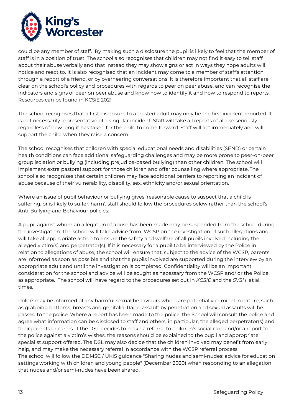

could be any member of staff. By making such a disclosure the pupil is likely to feel that the member of staff is in a position of trust. The school also recognises that children may not find it easy to tell staff about their abuse verbally and that instead they may show signs or act in ways they hope adults will notice and react to. It is also recognised that an incident may come to a member of staff's attention through a report of a friend, or by overhearing conversations. It is therefore important that all staff are clear on the school's policy and procedures with regards to peer on peer abuse, and can recognise the indicators and signs of peer on peer abuse and know how to identify it and how to respond to reports. Resources can be found in KCSiE 2021

The school recognises that a first disclosure to a trusted adult may only be the first incident reported. It is not necessarily representative of a singular incident. Staff will take all reports of abuse seriously regardless of how long it has taken for the child to come forward. Staff will act immediately and will support the child when they raise a concern.

The school recognises that children with special educational needs and disabilities (SEND) or certain health conditions can face additional safeguarding challenges and may be more prone to peer-on-peer group isolation or bullying (including prejudice-based bullying) than other children. The school will implement extra pastoral support for those children and offer counselling where appropriate. The school also recognises that certain children may face additional barriers to reporting an incident of abuse because of their vulnerability, disability, sex, ethnicity and/or sexual orientation.

Where an issue of pupil behaviour or bullying gives 'reasonable cause to suspect that a child is suffering, or is likely to suffer, harm', staff should follow the proceduresbelow rather than the school's Anti-Bullying and Behaviour policies:

A pupil against whom an allegation of abuse has been made may be suspended from the school during the investigation. The school will take advice from WCSP on the investigation of such allegations and will take all appropriate action to ensure the safety and welfare of all pupils involved including the alleged victim(s) and perpetrator(s). If it is necessary for a pupil to be interviewed by the Police in relation to allegations of abuse, the school will ensure that, subject to the advice of the WCSP, parents are informed as soon as possible and that the pupils involved are supported during the interview by an appropriate adult and until the investigation is completed. Confidentiality will be an important consideration for the school and advice will be sought as necessary from the WCSP and/ or the Police as appropriate. The school will have regard to the procedures set out in *KCSIE* and the *SVSH* at all times.

Police may be informed of any harmful sexual behaviours which are potentially criminal in nature, such as grabbing bottoms, breasts and genitalia. Rape, assault by penetration and sexual assaults will be passed to the police. Where a report has been made to the police, the School will consult the police and agree what information can be disclosed to staff and others, in particular, the alleged perpetrator(s) and their parents or carers. If the DSL decides to make a referral to children's social care and/or a report to the police against a victim's wishes, the reasons should be explained to the pupil and appropriate specialist support offered. The DSL may also decide that the children involved may benefit from early help, and may make the necessary referral in accordance with the WCSP referral process. The school will follow the DDMSC / UKIS guidance "Sharing nudes and semi-nudes: advice for education settings working with children and young people" (December 2020) when responding to an allegation that nudes and/or semi-nudes have been shared.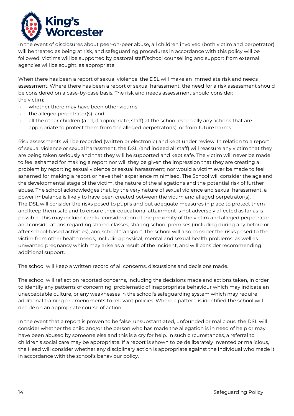

In the event of disclosures about peer-on-peer abuse, all children involved (both victim and perpetrator) will be treated as being at risk, and safeguarding procedures in accordance with this policy will be followed. Victims will be supported by pastoral staff/school counselling and support from external agencies will be sought, as appropriate.

When there has been a report of sexual violence, the DSL will make an immediate risk and needs assessment. Where there has been a report of sexual harassment, the need for a risk assessment should be considered on a case-by-case basis. The risk and needs assessment should consider: the victim;

- whether there may have been other victims
- the alleged perpetrator(s) and
- all the other children (and, if appropriate, staff) at the school especially any actions that are appropriate to protect them from the alleged perpetrator(s), or from future harms.

Risk assessments will be recorded (written or electronic) and kept under review. In relation to a report of sexual violence or sexual harassment, the DSL (and indeed all staff) will reassure any victim that they are being taken seriously and that they will be supported and kept safe. The victim will never be made to feel ashamed for making a report nor will they be given the impression that they are creating a problem by reporting sexual violence or sexual harassment; nor would a victim ever be made to feel ashamed for making a report or have their experience minimised. The School will consider the age and the developmental stage of the victim, the nature of the allegations and the potential risk of further abuse. The school acknowledges that, by the very nature of sexual violence and sexual harassment, a power imbalance is likely to have been created between the victim and alleged perpetrator(s). The DSL will consider the risks posed to pupils and put adequate measures in place to protect them and keep them safe and to ensure their educational attainment is not adversely affected as far as is possible. This may include careful consideration of the proximity of the victim and alleged perpetrator and considerations regarding shared classes, sharing school premises (including during any before or after school-based activities), and school transport. The school will also consider the risks posed to the victim from other health needs, including physical, mental and sexual health problems, as well as unwanted pregnancy which may arise as a result of the incident, and will consider recommending additional support.

The school will keep a written record of all concerns, discussions and decisions made.

The school will reflect on reported concerns, including the decisions made and actions taken, in order to identify any patterns of concerning, problematic of inappropriate behaviour which may indicate an unacceptable culture, or any weaknesses in the school's safeguarding system which may require additional training or amendments to relevant policies. Where a pattern is identified the school will decide on an appropriate course of action.

In the event that a report is proven to be false, unsubstantiated, unfounded or malicious, the DSL will consider whether the child and/or the person who has made the allegation is in need of help or may have been abused by someone else and this is a cry for help. In such circumstances, a referral to children's social care may be appropriate. If a report is shown to be deliberately invented or malicious, the Head will consider whether any disciplinary action is appropriate against the individual who made it in accordance with the school's behaviour policy.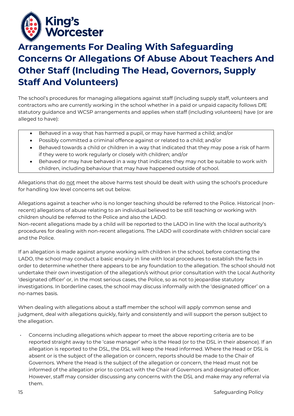

## **Arrangements For Dealing With Safeguarding Concerns Or Allegations Of Abuse About Teachers And Other Staff (Including The Head, Governors, Supply Staff And Volunteers)**

The school's procedures for managing allegations against staff (including supply staff, volunteers and contractors who are currently working in the school whether in a paid or unpaid capacity follows DfE statutory guidance and WCSP arrangements and applies when staff (including volunteers) have (or are alleged to have):

- Behaved in a way that has harmed a pupil, or may have harmed a child; and/or
- Possibly committed a criminal offence against or related to a child; and/or
- Behaved towards a child or children in a way that indicated that they may pose a risk of harm if they were to work regularly or closely with children; and/or
- Behaved or may have behaved in a way that indicates they may not be suitable to work with children, including behaviour that may have happened outside of school.

Allegations that do not meet the above harms test should be dealt with using the school's procedure for handling low level concerns set out below.

Allegations against a teacher who is no longer teaching should be referred to the Police. Historical (nonrecent) allegations of abuse relating to an individual believed to be still teaching or working with children should be referred to the Police and also the LADO.

Non-recent allegations made by a child will be reported to the LADO in line with the local authority's procedures for dealing with non-recent allegations. The LADO will coordinate with children social care and the Police.

If an allegation is made against anyone working with children in the school, before contacting the LADO, the school may conduct a basic enquiry in line with local procedures to establish the facts in order to determine whether there appears to be any foundation to the allegation. The school should not undertake their own investigation of the allegation/s without prior consultation with the Local Authority 'designated officer' or, in the most serious cases, the Police, so as not to jeopardise statutory investigations. In borderline cases, the school may discuss informally with the 'designated officer' on a no-names basis.

When dealing with allegations about a staff member the school will apply common sense and judgment, deal with allegations quickly, fairly and consistently and will support the person subject to the allegation.

• Concerns including allegations which appear to meet the above reporting criteria are to be reported straight away to the 'case manager' who is the Head (or to the DSL in their absence). If an allegation is reported to the DSL, the DSL will keep the Head informed. Where the Head or DSL is absent or is the subject of the allegation or concern, reports should be made to the Chair of Governors. Where the Head is the subject of the allegation or concern, the Head must not be informed of the allegation prior to contact with the Chair of Governors and designated officer. However, staff may consider discussing any concerns with the DSL and make may any referral via them.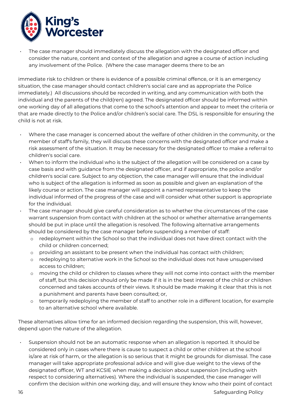

• The case manager should immediately discuss the allegation with the designated officer and consider the nature, content and context of the allegation and agree a course of action including any involvement of the Police. (Where the case manager deems there to be an

immediate risk to children or there is evidence of a possible criminal offence, or it is an emergency situation, the case manager should contact children's social care and as appropriate the Police immediately.) All discussions should be recorded in writing, and any communication with both the individual and the parents of the child(ren) agreed. The designated officer should be informed within one working day of all allegations that come to the school's attention and appear to meet the criteria or that are made directly to the Police and/or children's social care. The DSL is responsible for ensuring the child is not at risk.

- Where the case manager is concerned about the welfare of other children in the community, or the member of staff's family, they will discuss these concerns with the designated officer and make a risk assessment of the situation. It may be necessary for the designated officer to make a referral to children's social care.
- When to inform the individual who is the subject of the allegation will be considered on a case by case basis and with guidance from the designated officer, and if appropriate, the police and/or children's social care. Subject to any objection, the case manager will ensure that the individual who is subject of the allegation is informed as soon as possible and given an explanation of the likely course or action. The case manager will appoint a named representative to keep the individual informed of the progress of the case and will consider what other support is appropriate for the individual.
- The case manager should give careful consideration as to whether the circumstances of the case warrant suspension from contact with children at the school or whether alternative arrangements should be put in place until the allegation is resolved. The following alternative arrangements should be considered by the case manager before suspending a member of staff:
	- o redeployment within the School so that the individual does not have direct contact with the child or children concerned;
	- o providing an assistant to be present when the individual has contact with children;
	- o redeploying to alternative work in the School so the individual does not have unsupervised access to children;
	- o moving the child or children to classes where they will not come into contact with the member of staff, but this decision should only be made if it is in the best interest of the child or children concerned and takes accounts of their views. It should be made making it clear that this is not a punishment and parents have been consulted; or,
	- $\circ$  temporarily redeploying the member of staff to another role in a different location, for example to an alternative school where available.

These alternatives allow time for an informed decision regarding the suspension, this will, however, depend upon the nature of the allegation.

• Suspension should not be an automatic response when an allegation is reported. It should be considered only in cases where there is cause to suspect a child or other children at the school is/are at risk of harm, or the allegation is so serious that it might be grounds for dismissal. The case manager will take appropriate professional advice and will give due weight to the views of the designated officer, WT and KCSIE when making a decision about suspension (including with respect to considering alternatives). Where the individual is suspended, the case manager will confirm the decision within one working day, and will ensure they know who their point of contact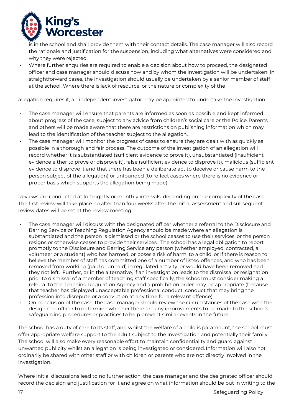

is in the school and shall provide them with their contact details. The case manager will also record the rationale and justification for the suspension, including what alternatives were considered and why they were rejected.

• Where further enquiries are required to enable a decision about how to proceed, the designated officer and case manager should discuss how and by whom the investigation will be undertaken. In straightforward cases, the investigation should usually be undertaken by a senior member of staff at the school. Where there is lack of resource, or the nature or complexity of the

allegation requires it, an independent investigator may be appointed to undertake the investigation.

- The case manager will ensure that parents are informed as soon as possible and kept informed about progress of the case, subject to any advice from children's social care or the Police. Parents and others will be made aware that there are restrictions on publishing information which may lead to the identification of the teacher subject to the allegation.
- The case manager will monitor the progress of cases to ensure they are dealt with as quickly as possible in a thorough and fair process. The outcome of the investigation of an allegation will record whether it is substantiated (sufficient evidence to prove it), unsubstantiated (insufficient evidence either to prove or disprove it), false (sufficient evidence to disprove it), malicious (sufficient evidence to disprove it and that there has been a deliberate act to deceive or cause harm to the person subject of the allegation) or unfounded (to reflect cases where there is no evidence or proper basis which supports the allegation being made).

Reviews are conducted at fortnightly or monthly intervals, depending on the complexity of the case. The first review will take place no alter than four weeks after the initial assessment and subsequent review dates will be set at the review meeting.

- The case manager will discuss with the designated officer whether a referral to the Disclosure and Barring Service or Teaching Regulation Agency should be made where an allegation is substantiated and the person is dismissed or the school ceases to use their services, or the person resigns or otherwise ceases to provide their services. The school has a legal obligation to report promptly to the Disclosure and Barring Service any person (whether employed, contracted, a volunteer or a student) who has harmed, or poses a risk of harm, to a child, or if there is reason to believe the member of staff has committed one of a number of listed offences, and who has been removed from working (paid or unpaid) in regulated activity, or would have been removed had they not left. Further, or in the alternative, if an investigation leads to the dismissal or resignation prior to dismissal of a member of teaching staff specifically, the school must consider making a referral to the Teaching Regulation Agency and a prohibition order may be appropriate (because that teacher has displayed unacceptable professional conduct, conduct that may bring the profession into disrepute or a conviction at any time for a relevant offence).
- On conclusion of the case, the case manager should review the circumstances of the case with the designated officer to determine whether there are any improvements to be made to the school's safeguarding procedures or practices to help prevent similar events in the future.

The school has a duty of care to its staff, and whilst the welfare of a child is paramount, the school must offer appropriate welfare support to the adult subject to the investigation and potentially their family. The school will also make every reasonable effort to maintain confidentiality and guard against unwanted publicity whilst an allegation is being investigated or considered. Information will also not ordinarily be shared with other staff or with children or parents who are not directly involved in the investigation.

Where initial discussions lead to no further action, the case manager and the designated officer should record the decision and justification for it and agree on what information should be put in writing to the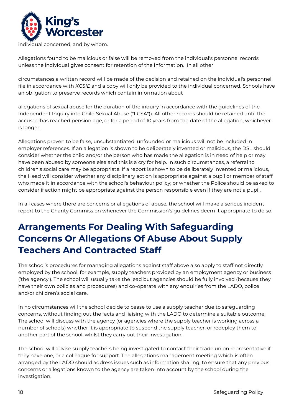

individual concerned, and by whom.

Allegations found to be malicious or false will be removed from the individual's personnel records unless the individual gives consent for retention of the information. In all other

circumstances a written record will be made of the decision and retained on the individual's personnel file in accordance with *KCSIE* and a copy will only be provided to the individual concerned. Schools have an obligation to preserve records which contain information about

allegations of sexual abuse for the duration of the inquiry in accordance with the guidelines of the Independent Inquiry into Child Sexual Abuse ("IICSA")). All other records should be retained until the accused has reached pension age, or for a period of 10 years from the date of the allegation, whichever is longer.

Allegations proven to be false, unsubstantiated, unfounded or malicious will not be included in employer references. If an allegation is shown to be deliberately invented or malicious, the DSL should consider whether the child and/or the person who has made the allegation is in need of help or may have been abused by someone else and this is a cry for help. In such circumstances, a referral to children's social care may be appropriate. If a report is shown to be deliberately invented or malicious, the Head will consider whether any disciplinary action is appropriate against a pupil or member of staff who made it in accordance with the school's behaviour policy; or whether the Police should be asked to consider if action might be appropriate against the person responsible even if they are not a pupil.

In all cases where there are concerns or allegations of abuse, the school will make a serious incident report to the Charity Commission whenever the Commission's guidelines deem it appropriate to do so.

### **Arrangements For Dealing With Safeguarding Concerns Or Allegations Of Abuse About Supply Teachers And Contracted Staff**

The school's procedures for managing allegations against staff above also apply to staff not directly employed by the school, for example, supply teachers provided by an employment agency or business ('the agency'). The school will usually take the lead but agencies should be fully involved (because they have their own policies and procedures) and co-operate with any enquiries from the LADO, police and/or children's social care.

In no circumstances will the school decide to cease to use a supply teacher due to safeguarding concerns, without finding out the facts and liaising with the LADO to determine a suitable outcome. The school will discuss with the agency (or agencies where the supply teacher is working across a number of schools) whether it is appropriate to suspend the supply teacher, or redeploy them to another part of the school, whilst they carry out their investigation.

The school will advise supply teachers being investigated to contact their trade union representative if they have one, or a colleague for support. The allegations management meeting which is often arranged by the LADO should address issues such as information sharing, to ensure that any previous concerns or allegations known to the agency are taken into account by the school during the investigation.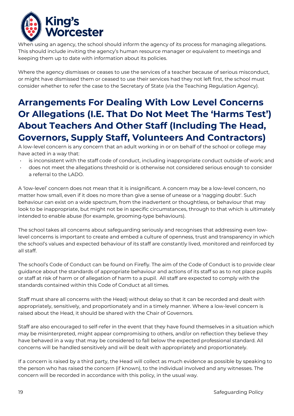

When using an agency, the school should inform the agency of its process for managing allegations. This should include inviting the agency's human resource manager or equivalent to meetings and keeping them up to date with information about its policies.

Where the agency dismisses or ceases to use the services of a teacher because of serious misconduct, or might have dismissed them or ceased to use their services had they not left first, the school must consider whether to refer the case to the Secretary of State (via the Teaching Regulation Agency).

# **Arrangements For Dealing With Low Level Concerns Or Allegations (I.E. That Do Not Meet The 'Harms Test') About Teachers And Other Staff (Including The Head, Governors, Supply Staff, Volunteers And Contractors)**

A low-level concern is any concern that an adult working in or on behalf of the school or college may have acted in a way that:

- is inconsistent with the staff code of conduct, including inappropriate conduct outside of work; and
- does not meet the allegations threshold or is otherwise not considered serious enough to consider a referral to the LADO.

A 'low-level' concern does not mean that it is insignificant. A concern may be a low-level concern, no matter how small, even if it does no more than give a sense of unease or a 'nagging doubt'. Such behaviour can exist on a wide spectrum, from the inadvertent or thoughtless, or behaviour that may look to be inappropriate, but might not be in specific circumstances, through to that which is ultimately intended to enable abuse (for example, grooming-type behaviours).

The school takes all concerns about safeguarding seriously and recognises that addressing even lowlevel concerns is important to create and embed a culture of openness, trust and transparency in which the school's values and expected behaviour of its staff are constantly lived, monitored and reinforced by all staff.

The school's Code of Conduct can be found on Firefly. The aim of the Code of Conduct is to provide clear guidance about the standards of appropriate behaviour and actions of its staff so as to not place pupils or staff at risk of harm or of allegation of harm to a pupil. All staff are expected to comply with the standards contained within this Code of Conduct at all times.

Staff must share all concerns with the Head) without delay so that it can be recorded and dealt with appropriately, sensitively, and proportionately and in a timely manner. Where a low-level concern is raised about the Head, it should be shared with the Chair of Governors.

Staff are also encouraged to self-refer in the event that they have found themselves in a situation which may be misinterpreted, might appear compromising to others, and/or on reflection they believe they have behaved in a way that may be considered to fall below the expected professional standard. All concerns will be handled sensitively and will be dealt with appropriately and proportionately.

If a concern is raised by a third party, the Head will collect as much evidence as possible by speaking to the person who has raised the concern (if known), to the individual involved and any witnesses. The concern will be recorded in accordance with this policy, in the usual way.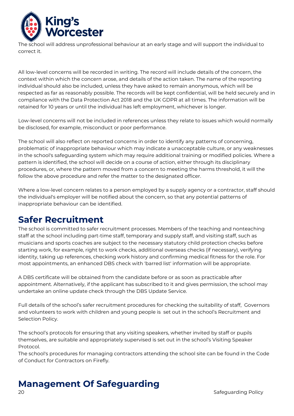

The school will address unprofessional behaviour at an early stage and will support the individual to correct it.

All low-level concerns will be recorded in writing. The record will include details of the concern, the context within which the concern arose, and details of the action taken. The name of the reporting individual should also be included, unless they have asked to remain anonymous, which will be respected as far as reasonably possible. The records will be kept confidential, will be held securely and in compliance with the Data Protection Act 2018 and the UK GDPR at all times. The information will be retained for 10 years or until the individual has left employment, whichever is longer.

Low-level concerns will not be included in references unless they relate to issues which would normally be disclosed, for example, misconduct or poor performance.

The school will also reflect on reported concerns in order to identify any patterns of concerning, problematic of inappropriate behaviour which may indicate a unacceptable culture, or any weaknesses in the school's safeguarding system which may require additional training or modified policies. Where a pattern is identified, the school will decide on a course of action, either through its disciplinary procedures, or, where the pattern moved from a concern to meeting the harms threshold, it will the follow the above procedure and refer the matter to the designated officer.

Where a low-level concern relates to a person employed by a supply agency or a contractor, staff should the individual's employer will be notified about the concern, so that any potential patterns of inappropriate behaviour can be identified.

### **Safer Recruitment**

The school is committed to safer recruitment processes. Members of the teaching and nonteaching staff at the school including part-time staff, temporary and supply staff, and visiting staff, such as musicians and sports coaches are subject to the necessary statutory child protection checks before starting work, for example, right to work checks, additional overseas checks (if necessary), verifying identity, taking up references, checking work history and confirming medical fitness for the role. For most appointments, an enhanced DBS check with 'barred list' information will be appropriate.

A DBS certificate will be obtained from the candidate before or as soon as practicable after appointment. Alternatively, if the applicant has subscribed to it and gives permission, the school may undertake an online update check through the DBS Update Service.

Full details of the school's safer recruitment procedures for checking the suitability of staff, Governors and volunteers to work with children and young people is set out in the school's Recruitment and Selection Policy.

The school's protocols for ensuring that any visiting speakers, whether invited by staff or pupils themselves, are suitable and appropriately supervised is set out in the school's Visiting Speaker Protocol.

The school's procedures for managing contractors attending the school site can be found in the Code of Conduct for Contractors on Firefly.

# **Management Of Safeguarding**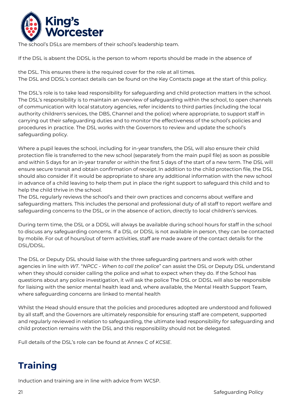

The school's DSLs are members of their school's leadership team.

If the DSL is absent the DDSL is the person to whom reports should be made in the absence of

the DSL. This ensures there is the required cover for the role at all times. The DSL and DDSL's contact details can be found on the Key Contacts page at the start of this policy.

The DSL's role is to take lead responsibility for safeguarding and child protection matters in the school. The DSL's responsibility is to maintain an overview of safeguarding within the school, to open channels of communication with local statutory agencies, refer incidents to third parties (including the local authority children's services, the DBS, Channel and the police) where appropriate, to support staff in carrying out their safeguarding duties and to monitor the effectiveness of the school's policies and procedures in practice. The DSL works with the Governors to review and update the school's safeguarding policy.

Where a pupil leaves the school, including for in-year transfers, the DSL will also ensure their child protection file is transferred to the new school (separately from the main pupil file) as soon as possible and within 5 days for an in-year transfer or within the first 5 days of the start of a new term. The DSL will ensure secure transit and obtain confirmation of receipt. In addition to the child protection file, the DSL should also consider if it would be appropriate to share any additional information with the new school in advance of a child leaving to help them put in place the right support to safeguard this child and to help the child thrive in the school.

The DSL regularly reviews the school's and their own practices and concerns about welfare and safeguarding matters. This includes the personal and professional duty of all staff to report welfare and safeguarding concerns to the DSL, or in the absence of action, directly to local children's services.

During term time, the DSL or a DDSL will always be available during school hours for staff in the school to discuss any safeguarding concerns. If a DSL or DDSL is not available in person, they can be contacted by mobile. For out of hours/out of term activities, staff are made aware of the contact details for the DSL/DDSL.

The DSL or Deputy DSL should liaise with the three safeguarding partners and work with other agencies in line with *WT*. "*NPCC - When to call the police*" can assist the DSL or Deputy DSL understand when they should consider calling the police and what to expect when they do. If the School has questions about any police investigation, it will ask the police The DSL or DDSL will also be responsible for liaising with the senior mental health lead and, where available, the Mental Health Support Team, where safeguarding concerns are linked to mental health

Whilst the Head should ensure that the policies and procedures adopted are understood and followed by all staff, and the Governors are ultimately responsible for ensuring staff are competent, supported and regularly reviewed in relation to safeguarding, the ultimate lead responsibility for safeguarding and child protection remains with the DSL and this responsibility should not be delegated.

Full details of the DSL's role can be found at Annex C of *KCSIE*.

# **Training**

Induction and training are in line with advice from WCSP.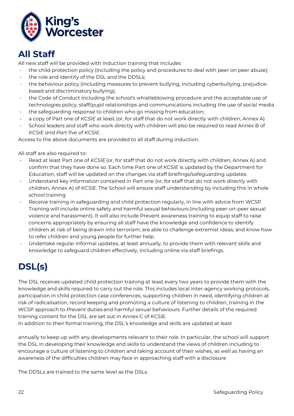

### **All Staff**

All new staff will be provided with induction training that includes

- the child protection policy (including the policy and procedures to deal with peer on peer abuse);
- the role and identity of the DSL and the DDSLs;
- the behaviour policy (including measures to prevent bullying, including cyberbullying, prejudicebased and discriminatory bullying);
- the Code of Conduct including the school's whistleblowing procedure and the acceptable use of technologies policy, staff/pupil relationships and communications including the use of social media
- the safeguarding response to children who go missing from education;
- a copy of Part one of *KCSIE* at least (or, for staff that do not work directly with children, Annex A)
- School leaders and staff who work directly with children will also be required to read Annex B of *KCSIE and Part five of KCSIE*.

Access to the above documents are provided to all staff during induction.

All staff are also required to:

- Read at least Part one of *KCSIE*(or, for staff that do not work directly with children, Annex A) and confirm that they have done so. Each time Part one of *KCSIE* is updated by the Department for Education, staff will be updated on the changes via staff briefings/safeguarding updates.
- Understand key information contained in Part one (or, for staff that do not work directly with children, Annex A) of *KCSIE*. The School will ensure staff understanding by including this in whole school training
- Receive training in safeguarding and child protection regularly, in line with advice from WCSP. Training will include online safety and harmful sexual behaviours (including peer-on-peer sexual violence and harassment). It will also include Prevent awareness training to equip staff to raise concerns appropriately by ensuring all staff have the knowledge and confidence to identify children at risk of being drawn into terrorism; are able to challenge extremist ideas; and know how to refer children and young people for further help.
- Undertake regular informal updates, at least annually, to provide them with relevant skills and knowledge to safeguard children effectively, including online via staff briefings.

# **DSL(s)**

The DSL receives updated child protection training at least every two years to provide them with the knowledge and skills required to carry out the role. This includes local inter-agency working protocols, participation in child protection case conferences, supporting children in need, identifying children at risk of radicalisation, record keeping and promoting a culture of listening to children, training in the WCSP approach to *Prevent* duties and harmful sexual behaviours. Further details of the required training content for the DSL are set out in Annex C of *KCSIE.* 

In addition to their formal training, the DSL's knowledge and skills are updated at least

annually to keep up with any developments relevant to their role. In particular, the school will support the DSL in developing their knowledge and skills to understand the views of children including to encourage a culture of listening to children and taking account of their wishes, as well as having an awareness of the difficulties children may face in approaching staff with a disclosure

The DDSLs are trained to the same level as the DSLs.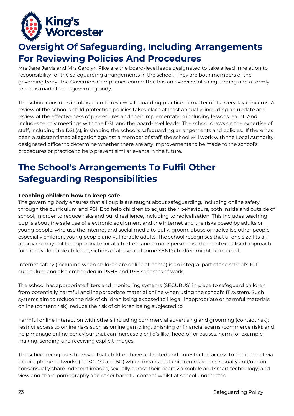

### **Oversight Of Safeguarding, Including Arrangements For Reviewing Policies And Procedures**

Mrs Jane Jarvis and Mrs Carolyn Pike are the board-level leads designated to take a lead in relation to responsibility for the safeguarding arrangements in the school. They are both members of the governing body. The Governors Compliance committee has an overview of safeguarding and a termly report is made to the governing body.

The school considers its obligation to review safeguarding practices a matter of its everyday concerns. A review of the school's child protection policies takes place at least annually, including an update and review of the effectiveness of procedures and their implementation including lessons learnt. And includes termly meetings with the DSL and the board-level leads. The school draws on the expertise of staff, including the DSL(s), in shaping the school's safeguarding arrangements and policies. If there has been a substantiated allegation against a member of staff, the school will work with the Local Authority designated officer to determine whether there are any improvements to be made to the school's procedures or practice to help prevent similar events in the future.

## **The School's Arrangements To Fulfil Other Safeguarding Responsibilities**

#### **Teaching children how to keep safe**

The governing body ensures that all pupils are taught about safeguarding, including online safety, through the curriculum and PSHE to help children to adjust their behaviours, both inside and outside of school, in order to reduce risks and build resilience, including to radicalisation. This includes teaching pupils about the safe use of electronic equipment and the internet and the risks posed by adults or young people, who use the internet and social media to bully, groom, abuse or radicalise other people, especially children, young people and vulnerable adults. The school recognises that a "one size fits all" approach may not be appropriate for all children, and a more personalised or contextualised approach for more vulnerable children, victims of abuse and some SEND children might be needed.

Internet safety (including when children are online at home) is an integral part of the school's ICT curriculum and also embedded in PSHE and RSE schemes of work.

The school has appropriate filters and monitoring systems (SECURUS) in place to safeguard children from potentially harmful and inappropriate material online when using the school's IT system. Such systems aim to reduce the risk of children being exposed to illegal, inappropriate or harmful materials online (content risk); reduce the risk of children being subjected to

harmful online interaction with others including commercial advertising and grooming (contact risk); restrict access to online risks such as online gambling, phishing or financial scams (commerce risk); and help manage online behaviour that can increase a child's likelihood of, or causes, harm for example making, sending and receiving explicit images.

The school recognises however that children have unlimited and unrestricted access to the internet via mobile phone networks (i.e. 3G, 4G and 5G) which means that children may consensually and/or nonconsensually share indecent images, sexually harass their peers via mobile and smart technology, and view and share pornography and other harmful content whilst at school undetected.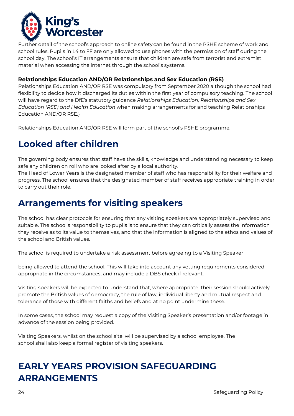

Further detail of the school's approach to online safety can be found in the PSHE scheme of work and school rules. Pupils in L4 to FF are only allowed to use phones with the permission of staff during the school day. The school's IT arrangements ensure that children are safe from terrorist and extremist material when accessing the internet through the school's systems.

#### **Relationships Education AND/OR Relationships and Sex Education (RSE)**

Relationships Education AND/OR RSE was compulsory from September 2020 although the school had flexibility to decide how it discharged its duties within the first year of compulsory teaching. The school will have regard to the DfE's statutory guidance *Relationships Education, Relationships and Sex Education (RSE) and Health Education* when making arrangements for and teaching Relationships Education AND/OR RSE.}

Relationships Education AND/OR RSE will form part of the school's PSHE programme.

### **Looked after children**

The governing body ensures that staff have the skills, knowledge and understanding necessary to keep safe any children on roll who are looked after by a local authority.

The Head of Lower Years is the designated member of staff who has responsibility for their welfare and progress. The school ensures that the designated member of staff receives appropriate training in order to carry out their role.

### **Arrangements for visiting speakers**

The school has clear protocols for ensuring that any visiting speakers are appropriately supervised and suitable. The school's responsibility to pupils is to ensure that they can critically assess the information they receive as to its value to themselves, and that the information is aligned to the ethos and values of the school and British values.

The school is required to undertake a risk assessment before agreeing to a Visiting Speaker

being allowed to attend the school. This will take into account any vetting requirements considered appropriate in the circumstances, and may include a DBS check if relevant.

Visiting speakers will be expected to understand that, where appropriate, their session should actively promote the British values of democracy, the rule of law, individual liberty and mutual respect and tolerance of those with different faiths and beliefs and at no point undermine these.

In some cases, the school may request a copy of the Visiting Speaker's presentation and/or footage in advance of the session being provided.

Visiting Speakers, whilst on the school site, will be supervised by a school employee. The school shall also keep a formal register of visiting speakers.

### **EARLY YEARS PROVISION SAFEGUARDING ARRANGEMENTS**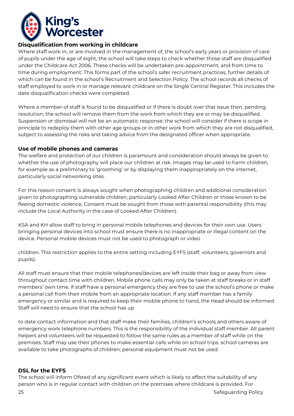

#### **Disqualification from working in childcare**

Where staff work in, or are involved in the management of, the school's early years or provision of care of pupils under the age of eight, the school will take steps to check whether those staff are disqualified under the Childcare Act 2006. These checks will be undertaken pre-appointment, and from time to time during employment. This forms part of the school's safer recruitment practices, further details of which can be found in the school's Recruitment and Selection Policy. The school records all checks of staff employed to work in or manage relevant childcare on the Single Central Register. This includes the date disqualification checks were completed.

Where a member of staff is found to be disqualified or if there is doubt over that issue then, pending resolution, the school will remove them from the work from which they are or may be disqualified. Suspension or dismissal will not be an automatic response; the school will consider if there is scope in principle to redeploy them with other age groups or in other work from which they are not disqualified, subject to assessing the risks and taking advice from the designated officer when appropriate.

#### **Use of mobile phones and cameras**

The welfare and protection of our children is paramount and consideration should always be given to whether the use of photography will place our children at risk. Images may be used to harm children, for example as a preliminary to 'grooming' or by displaying them inappropriately on the internet, particularly social networking sites.

For this reason consent is always sought when photographing children and additional consideration given to photographing vulnerable children, particularly Looked After Children or those known to be fleeing domestic violence. Consent must be sought from those with parental responsibility (this may include the Local Authority in the case of Looked After Children).

KSA and KH allow staff to bring in personal mobile telephones and devices for their own use. Users bringing personal devices into school must ensure there is no inappropriate or illegal content on the device. Personal mobile devices must not be used to photograph or video

children. This restriction applies to the entire setting including EYFS (staff, volunteers, governors and pupils).

All staff must ensure that their mobile telephones/devices are left inside their bag or away from view throughout contact time with children. Mobile phone calls may only be taken at staff breaks or in staff members' own time. If staff have a personal emergency they are free to use the school's phone or make a personal call from their mobile from an appropriate location. If any staff member has a family emergency or similar and is required to keep their mobile phone to hand, the Head should be informed. Staff will need to ensure that the school has up

to date contact information and that staff make their families, children's schools and others aware of emergency work telephone numbers. This is the responsibility of the individual staff member. All parent helpers and volunteers will be requested to follow the same rules as a member of staff while on the premises. Staff may use their phones to make essential calls while on school trips. school cameras are available to take photographs of children; personal equipment must not be used.

#### **DSL for the EYFS**

The school will inform Ofsted of any significant event which is likely to affect the suitability of any person who is in regular contact with children on the premises where childcare is provided. For

25 Safeguarding Policy and the United States of the United States of the States of the States of the United States of the United States of the United States of the United States of the United States of the United States of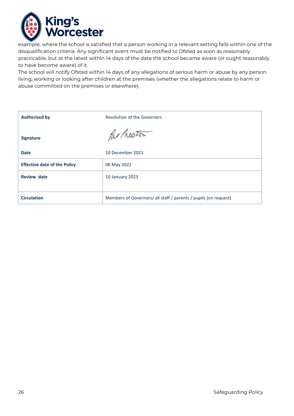

example, where the school is satisfied that a person working in a relevant setting falls within one of the disqualification criteria. Any significant event must be notified to Ofsted as soon as reasonably practicable, but at the latest within 14 days of the date the school became aware (or ought reasonably to have become aware) of it.

The school will notify Ofsted within 14 days of any allegations of serious harm or abuse by any person living, working or looking after children at the premises (whether the allegations relate to harm or abuse committed on the premises or elsewhere).

| <b>Authorised by</b>                | <b>Resolution of the Governors</b>                              |
|-------------------------------------|-----------------------------------------------------------------|
| <b>Signature</b>                    | Parlicoto                                                       |
| <b>Date</b>                         | 10 December 2021                                                |
| <b>Effective date of the Policy</b> | 06 May 2022                                                     |
| <b>Review date</b>                  | 10 January 2023                                                 |
|                                     |                                                                 |
| <b>Circulation</b>                  | Members of Governors/ all staff / parents / pupils [on request] |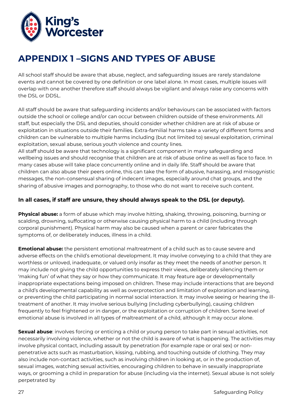

### **APPENDIX 1 –SIGNS AND TYPES OF ABUSE**

All school staff should be aware that abuse, neglect, and safeguarding issues are rarely standalone events and cannot be covered by one definition or one label alone. In most cases, multiple issues will overlap with one another therefore staff should always be vigilant and always raise any concerns with the DSL or DDSL.

All staff should be aware that safeguarding incidents and/or behaviours can be associated with factors outside the school or college and/or can occur between children outside of these environments. All staff, but especially the DSL and deputies, should consider whether children are at risk of abuse or exploitation in situations outside their families. Extra-familial harms take a variety of different forms and children can be vulnerable to multiple harms including (but not limited to) sexual exploitation, criminal exploitation, sexual abuse, serious youth violence and county lines.

All staff should be aware that technology is a significant component in many safeguarding and wellbeing issues and should recognise that children are at risk of abuse online as well as face to face. In many cases abuse will take place concurrently online and in daily life. Staff should be aware that children can also abuse their peers online, this can take the form of abusive, harassing, and misogynistic messages, the non-consensual sharing of indecent images, especially around chat groups, and the sharing of abusive images and pornography, to those who do not want to receive such content.

#### **In all cases, if staff are unsure, they should always speak to the DSL (or deputy).**

**Physical abuse:** a form of abuse which may involve hitting, shaking, throwing, poisoning, burning or scalding, drowning, suffocating or otherwise causing physical harm to a child (including through corporal punishment). Physical harm may also be caused when a parent or carer fabricates the symptoms of, or deliberately induces, illness in a child.

**Emotional abuse:** the persistent emotional maltreatment of a child such as to cause severe and adverse effects on the child's emotional development. It may involve conveying to a child that they are worthless or unloved, inadequate, or valued only insofar as they meet the needs of another person. It may include not giving the child opportunities to express their views, deliberately silencing them or 'making fun' of what they say or how they communicate. It may feature age or developmentally inappropriate expectations being imposed on children. These may include interactions that are beyond a child's developmental capability as well as overprotection and limitation of exploration and learning, or preventing the child participating in normal social interaction. It may involve seeing or hearing the illtreatment of another. It may involve serious bullying (including cyberbullying), causing children frequently to feel frightened or in danger, or the exploitation or corruption of children. Some level of emotional abuse is involved in all types of maltreatment of a child, although it may occur alone.

**Sexual abuse**: involves forcing or enticing a child or young person to take part in sexual activities, not necessarily involving violence, whether or not the child is aware of what is happening. The activities may involve physical contact, including assault by penetration (for example rape or oral sex) or nonpenetrative acts such as masturbation, kissing, rubbing, and touching outside of clothing. They may also include non-contact activities, such as involving children in looking at, or in the production of, sexual images, watching sexual activities, encouraging children to behave in sexually inappropriate ways, or grooming a child in preparation for abuse (including via the internet). Sexual abuse is not solely perpetrated by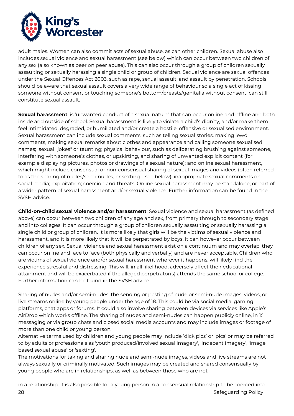

adult males. Women can also commit acts of sexual abuse, as can other children. Sexual abuse also includes sexual violence and sexual harassment (see below) which can occur between two children of any sex (also known as peer on peer abuse). This can also occur through a group of children sexually assaulting or sexually harassing a single child or group of children. Sexual violence are sexual offences under the Sexual Offences Act 2003, such as rape, sexual assault, and assault by penetration. Schools should be aware that sexual assault covers a very wide range of behaviour so a single act of kissing someone without consent or touching someone's bottom/breasts/genitalia without consent, can still constitute sexual assault.

**Sexual harassment**: is 'unwanted conduct of a sexual nature' that can occur online and offline and both inside and outside of school. Sexual harassment is likely to violate a child's dignity, and/or make them feel intimidated, degraded, or humiliated and/or create a hostile, offensive or sexualised environment. Sexual harassment can include sexual comments, such as telling sexual stories, making lewd comments, making sexual remarks about clothes and appearance and calling someone sexualised names; sexual "jokes" or taunting; physical behaviour, such as deliberating brushing against someone, interfering with someone's clothes, or upskirting, and sharing of unwanted explicit content (for example displaying pictures, photos or drawings of a sexual nature); and online sexual harassment, which might include consensual or non-consensual sharing of sexual images and videos (often referred to as the sharing of nudes/semi-nudes, or sexting – see below); inappropriate sexual comments on social media; exploitation; coercion and threats. Online sexual harassment may be standalone, or part of a wider pattern of sexual harassment and/or sexual violence. Further information can be found in the SVSH advice.

**Child-on-child sexual violence and/or harassment**: Sexual violence and sexual harassment (as defined above) can occur between two children of any age and sex, from primary through to secondary stage and into colleges. It can occur through a group of children sexually assaulting or sexually harassing a single child or group of children. It is more likely that girls will be the victims of sexual violence and harassment, and it is more likely that it will be perpetrated by boys. It can however occur between children of any sex. Sexual violence and sexual harassment exist on a continuum and may overlap; they can occur online and face to face (both physically and verbally) and are never acceptable. Children who are victims of sexual violence and/or sexual harassment wherever it happens, will likely find the experience stressful and distressing. This will, in all likelihood, adversely affect their educational attainment and will be exacerbated if the alleged perpetrator(s) attends the same school or college. Further information can be found in the SVSH advice.

Sharing of nudes and/or semi-nudes: the sending or posting of nude or semi-nude images, videos, or live streams online by young people under the age of 18. This could be via social media, gaming platforms, chat apps or forums. It could also involve sharing between devices via services like Apple's AirDrop which works offline. The sharing of nudes and semi-nudes can happen publicly online, in 1:1 messaging or via group chats and closed social media accounts and may include images or footage of more than one child or young person.

Alternative terms used by children and young people may include 'dick pics' or 'pics' or may be referred to by adults or professionals as 'youth produced/involved sexual imagery', 'indecent imagery', 'image based sexual abuse' or 'sexting'.

The motivations for taking and sharing nude and semi-nude images, videos and live streams are not always sexually or criminally motivated. Such images may be created and shared consensually by young people who are in relationships, as well as between those who are not

28 Safeguarding Policy in a relationship. It is also possible for a young person in a consensual relationship to be coerced into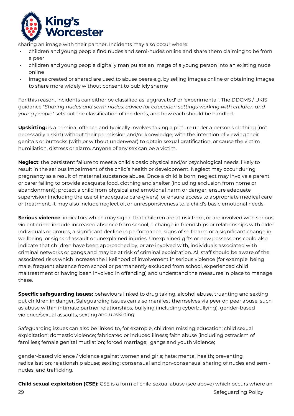

sharing an image with their partner. Incidents may also occur where:

- children and young people find nudes and semi-nudes online and share them claiming to be from a peer
- children and young people digitally manipulate an image of a young person into an existing nude online
- images created or shared are used to abuse peers e.g. by selling images online or obtaining images to share more widely without consent to publicly shame

For this reason, incidents can either be classified as 'aggravated' or 'experimental'. The DDCMS / UKIS guidance "*Sharing nudes and semi-nudes: advice for education settings working with children and young people*" sets out the classification of incidents, and how each should be handled.

**Upskirting:** is a criminal offence and typically involves taking a picture under a person's clothing (not necessarily a skirt) without their permission and/or knowledge, with the intention of viewing their genitals or buttocks (with or without underwear) to obtain sexual gratification, or cause the victim humiliation, distress or alarm. Anyone of any sex can be a victim.

**Neglect**: the persistent failure to meet a child's basic physical and/or psychological needs, likely to result in the serious impairment of the child's health or development. Neglect may occur during pregnancy as a result of maternal substance abuse. Once a child is born, neglect may involve a parent or carer failing to provide adequate food, clothing and shelter (including exclusion from home or abandonment); protect a child from physical and emotional harm or danger; ensure adequate supervision (including the use of inadequate care-givers); or ensure access to appropriate medical care or treatment. It may also include neglect of, or unresponsiveness to, a child's basic emotional needs.

**Serious violence**: indicators which may signal that children are at risk from, or are involved with serious violent crime include increased absence from school, a change in friendships or relationships with older individuals or groups, a significant decline in performance, signs of self-harm or a significant change in wellbeing, or signs of assault or unexplained injuries. Unexplained gifts or new possessions could also indicate that children have been approached by, or are involved with, individuals associated with criminal networks or gangs and may be at risk of criminal exploitation. All staff should be aware of the associated risks which increase the likelihood of involvement in serious violence (for example, being male, frequent absence from school or permanently excluded from school, experienced child maltreatment or having been involved in offending) and understand the measures in place to manage these.

**Specific safeguarding issues:** behaviours linked to drug taking, alcohol abuse, truanting and sexting put children in danger. Safeguarding issues can also manifest themselves via peer on peer abuse, such as abuse within intimate partner relationships, bullying (including cyberbullying), gender-based violence/sexual assaults, sextingand upskirting.

Safeguarding issues can also be linked to, for example, children missing education; child sexual exploitation; domestic violence; fabricated or induced illness; faith abuse (including ostracism of families); female genital mutilation; forced marriage; gangs and youth violence;

gender-based violence / violence against women and girls; hate; mental health; preventing radicalisation; relationship abuse; sexting; consensual and non-consensual sharing of nudes and seminudes; and trafficking.

29 Safeguarding Policy and the Safeguarding Policy and the Safeguarding Policy and the Safeguarding Policy and the Safeguarding Policy and the Safeguarding Policy and the Safeguarding Policy and the Safeguarding Policy and **Child sexual exploitation (CSE):** CSE is a form of child sexual abuse (see above) which occurs where an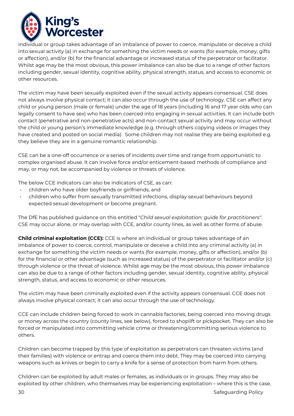

individual or group takes advantage of an imbalance of power to coerce, manipulate or deceive a child into sexual activity (a) in exchange for something the victim needs or wants (for example, money, gifts or affection), and/or (b) for the financial advantage or increased status of the perpetrator or facilitator. Whilst age may be the most obvious, this power imbalance can also be due to a range of other factors including gender, sexual identity, cognitive ability, physical strength, status, and access to economic or other resources.

The victim may have been sexually exploited even if the sexual activity appears consensual. CSE does not always involve physical contact; it can also occur through the use of technology. CSE can affect any child or young person (male or female) under the age of 18 years (including 16 and 17 year olds who can legally consent to have sex) who has been coerced into engaging in sexual activities. It can include both contact (penetrative and non-penetrative acts) and non-contact sexual activity and may occur without the child or young person's immediate knowledge (e.g. through others copying videos or images they have created and posted on social media). Some children may not realise they are being exploited e.g. they believe they are in a genuine romantic relationship.

CSE can be a one-off occurrence or a series of incidents over time and range from opportunistic to complex organised abuse. It can involve force and/or enticement-based methods of compliance and may, or may not, be accompanied by violence or threats of violence.

The below CCE indicators can also be indicators of CSE, as can:

- children who have older boyfriends or girlfriends, and
- children who suffer from sexually transmitted infections, display sexual behaviours beyond expected sexual development or become pregnant.

The DfE has published guidance on this entitled "*Child sexual exploitation: guide for practitioners"*. CSE may occur alone, or may overlap with CCE, and/or county lines, as well as other forms of abuse.

**Child criminal exploitation (CCE):** CCE is where an individual or group takes advantage of an imbalance of power to coerce, control, manipulate or deceive a child into any criminal activity (a) in exchange for something the victim needs or wants (for example, money, gifts or affection), and/or (b) for the financial or other advantage (such as increased status) of the perpetrator or facilitator and/or (c) through violence or the threat of violence. Whilst age may be the most obvious, this power imbalance can also be due to a range of other factors including gender, sexual identity, cognitive ability, physical strength, status, and access to economic or other resources.

The victim may have been criminally exploited even if the activity appears consensual. CCE does not always involve physical contact; it can also occur through the use of technology.

CCE can include children being forced to work in cannabis factories, being coerced into moving drugs or money across the country (county lines, see below), forced to shoplift or pickpocket. They can also be forced or manipulated into committing vehicle crime or threatening/committing serious violence to others.

Children can become trapped by this type of exploitation as perpetrators can threaten victims (and their families) with violence or entrap and coerce them into debt. They may be coerced into carrying weapons such as knives or begin to carry a knife for a sense of protection from harm from others.

Children can be exploited by adult males or females, as individuals or in groups. They may also be exploited by other children, who themselves may be experiencing exploitation – where this is the case,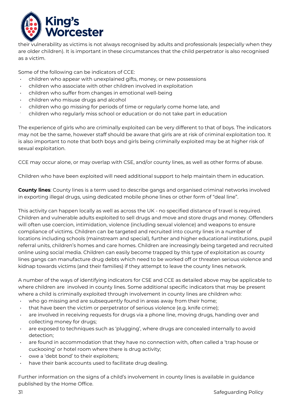

their vulnerability as victims is not always recognised by adults and professionals (especially when they are older children). It is important in these circumstances that the child perpetrator is also recognised as a victim.

Some of the following can be indicators of CCE:

- children who appear with unexplained gifts, money, or new possessions
- children who associate with other children involved in exploitation
- children who suffer from changes in emotional well-being
- children who misuse drugs and alcohol
- children who go missing for periods of time or regularly come home late, and
- children who regularly miss school or education or do not take part in education

The experience of girls who are criminally exploited can be very different to that of boys. The indicators may not be the same, however staff should be aware that girls are at risk of criminal exploitation too. It is also important to note that both boys and girls being criminally exploited may be at higher risk of sexual exploitation.

CCE may occur alone, or may overlap with CSE, and/or county lines, as well as other forms of abuse.

Children who have been exploited will need additional support to help maintain them in education.

**County lines**: County lines is a term used to describe gangs and organised criminal networks involved in exporting illegal drugs, using dedicated mobile phone lines or other form of "deal line".

This activity can happen locally as well as across the UK - no specified distance of travel is required. Children and vulnerable adults exploited to sell drugs and move and store drugs and money. Offenders will often use coercion, intimidation, violence (including sexual violence) and weapons to ensure compliance of victims. Children can be targeted and recruited into county lines in a number of locations including schools (mainstream and special), further and higher educational institutions, pupil referral units, children's homes and care homes. Children are increasingly being targeted and recruited online using social media. Children can easily become trapped by this type of exploitation as county lines gangs can manufacture drug debts which need to be worked off or threaten serious violence and kidnap towards victims (and their families) if they attempt to leave the county lines network.

A number of the ways of identifying indicators for CSE and CCE as detailed above may be applicable to where children are involved in county lines. Some additional specific indicators that may be present where a child is criminally exploited through involvement in county lines are children who:

- who go missing and are subsequently found in areas away from their home;
- that have been the victim or perpetrator of serious violence (e.g. knife crime);
- are involved in receiving requests for drugs via a phone line, moving drugs, handing over and collecting money for drugs;
- are exposed to techniques such as 'plugging', where drugs are concealed internally to avoid detection;
- are found in accommodation that they have no connection with, often called a 'trap house or cuckooing' or hotel room where there is drug activity;
- owe a 'debt bond' to their exploiters;
- have their bank accounts used to facilitate drug dealing.

Further information on the signs of a child's involvement in county lines is available in guidance published by the Home Office.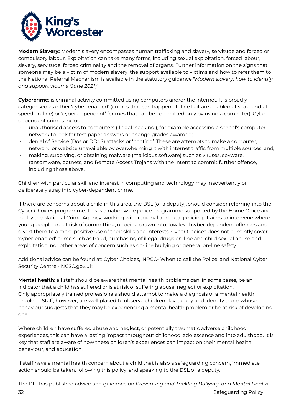

**Modern Slavery:** Modern slavery encompasses human trafficking and slavery, servitude and forced or compulsory labour. Exploitation can take many forms, including sexual exploitation, forced labour, slavery, servitude, forced criminality and the removal of organs. Further information on the signs that someone may be a victim of modern slavery, the support available to victims and how to refer them to the National Referral Mechanism is available in the statutory guidance "*Modern slavery: how to identify and support victims (June 2021)*"

**Cybercrime**: is criminal activity committed using computers and/or the internet. It is broadly categorised as either 'cyber-enabled' (crimes that can happen off-line but are enabled at scale and at speed on-line) or 'cyber dependent' (crimes that can be committed only by using a computer). Cyberdependent crimes include:

- unauthorised access to computers (illegal 'hacking'), for example accessing a school's computer network to look for test paper answers or change grades awarded;
- denial of Service (Dos or DDoS) attacks or 'booting'. These are attempts to make a computer, network, or website unavailable by overwhelming it with internet traffic from multiple sources; and,
- making, supplying, or obtaining malware (malicious software) such as viruses, spyware, ransomware, botnets, and Remote Access Trojans with the intent to commit further offence, including those above.

Children with particular skill and interest in computing and technology may inadvertently or deliberately stray into cyber-dependent crime.

If there are concerns about a child in this area, the DSL (or a deputy), should consider referring into the Cyber Choices programme. This is a nationwide police programme supported by the Home Office and led by the National Crime Agency, working with regional and local policing. It aims to intervene where young people are at risk of committing, or being drawn into, low level cyber-dependent offences and divert them to a more positive use of their skills and interests. Cyber Choices does not currently cover 'cyber-enabled' crime such as fraud, purchasing of illegal drugs on-line and child sexual abuse and exploitation, nor other areas of concern such as on-line bullying or general on-line safety.

Additional advice can be found at: Cyber Choices, 'NPCC- When to call the Police' and National Cyber Security Centre - NCSC.gov.uk

**Mental health**: all staff should be aware that mental health problems can, in some cases, be an indicator that a child has suffered or is at risk of suffering abuse, neglect or exploitation. Only appropriately trained professionals should attempt to make a diagnosis of a mental health problem. Staff, however, are well placed to observe children day-to-day and identify those whose behaviour suggests that they may be experiencing a mental health problem or be at risk of developing one.

Where children have suffered abuse and neglect, or potentially traumatic adverse childhood experiences, this can have a lasting impact throughout childhood, adolescence and into adulthood. It is key that staff are aware of how these children's experiences can impact on their mental health, behaviour, and education.

If staff have a mental health concern about a child that is also a safeguarding concern, immediate action should be taken, following this policy, and speaking to the DSL or a deputy.

**32** Safeguarding Policy The DfE has published advice and guidance on *Preventing and Tackling Bullying, and Mental Health*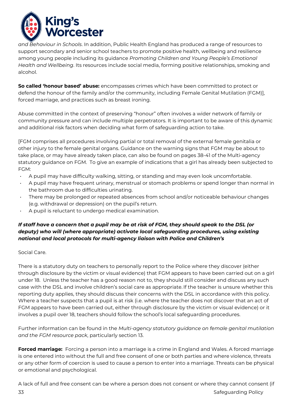

*and Behaviour in Schools*. In addition, Public Health England has produced a range of resources to support secondary and senior school teachers to promote positive health, wellbeing and resilience among young people including its guidance *Promoting Children and Young People's Emotional Health and Wellbeing*. Its resources include social media, forming positive relationships, smoking and alcohol.

**So called 'honour based' abuse:** encompasses crimes which have been committed to protect or defend the honour of the family and/or the community, including Female Genital Mutilation (FGM)], forced marriage, and practices such as breast ironing.

Abuse committed in the context of preserving "honour" often involves a wider network of family or community pressure and can include multiple perpetrators. It is important to be aware of this dynamic and additional risk factors when deciding what form of safeguarding action to take.

[FGM comprises all procedures involving partial or total removal of the external female genitalia or other injury to the female genital organs. Guidance on the warning signs that FGM may be about to take place, or may have already taken place, can also be found on pages 38-41 of the Multi-agency statutory guidance on FGM. To give an example of indications that a girl has already been subjected to FGM:

- A pupil may have difficulty walking, sitting, or standing and may even look uncomfortable.
- A pupil may have frequent urinary, menstrual or stomach problems or spend longer than normal in the bathroom due to difficulties urinating.
- There may be prolonged or repeated absences from school and/or noticeable behaviour changes (e.g. withdrawal or depression) on the pupil's return.
- A pupil is reluctant to undergo medical examination.

### *If staff have a concern that a pupil may be at risk of FGM, they should speak to the DSL (or deputy) who will (where appropriate) activate local safeguarding procedures, using existing national and local protocols for multi-agency liaison with Police and Children's*

Social Care.

There is a statutory duty on teachers to personally report to the Police where they discover (either through disclosure by the victim or visual evidence) that FGM appears to have been carried out on a girl under 18. Unless the teacher has a good reason not to, they should still consider and discuss any such case with the DSL and involve children's social care as appropriate. If the teacher is unsure whether this reporting duty applies, they should discuss their concerns with the DSL in accordance with this policy. Where a teacher suspects that a pupil is at risk (i.e. where the teacher does not discover that an act of FGM appears to have been carried out, either through disclosure by the victim or visual evidence) or it involves a pupil over 18, teachers should follow the school's local safeguarding procedures.

Further information can be found in the *Multi-agency statutory guidance on female genital mutilation and the FGM resource pack*, particularly section 13.

**Forced marriage:** Forcing a person into a marriage is a crime in England and Wales. A forced marriage is one entered into without the full and free consent of one or both parties and where violence, threats or any other form of coercion is used to cause a person to enter into a marriage. Threats can be physical or emotional and psychological.

**33** Safeguarding Policy and the set of the set of the set of the set of the set of the set of the set of the set of the set of the set of the set of the set of the set of the set of the set of the set of the set of the se A lack of full and free consent can be where a person does not consent or where they cannot consent (if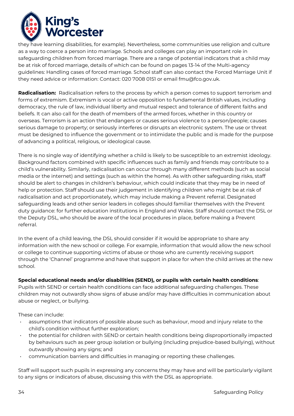

they have learning disabilities, for example). Nevertheless, some communities use religion and culture as a way to coerce a person into marriage. Schools and colleges can play an important role in safeguarding children from forced marriage. There are a range of potential indicators that a child may be at risk of forced marriage, details of which can be found on pages 13-14 of the Multi-agency guidelines: Handling cases of forced marriage. School staff can also contact the Forced Marriage Unit if they need advice or information: Contact: 020 7008 0151 or email [fmu@fco.gov.uk.](mailto:fmu@fco.gov.uk)

**Radicalisation:** Radicalisation refers to the process by which a person comes to support terrorism and forms of extremism. Extremism is vocal or active opposition to fundamental British values, including democracy, the rule of law, individual liberty and mutual respect and tolerance of different faiths and beliefs. It can also call for the death of members of the armed forces, whether in this country or overseas. Terrorism is an action that endangers or causes serious violence to a person/people; causes serious damage to property; or seriously interferes or disrupts an electronic system. The use or threat must be designed to influence the government or to intimidate the public and is made for the purpose of advancing a political, religious, or ideological cause.

There is no single way of identifying whether a child is likely to be susceptible to an extremist ideology. Background factors combined with specific influences such as family and friends may contribute to a child's vulnerability. Similarly, radicalisation can occur through many different methods (such as social media or the internet) and settings (such as within the home). As with other safeguarding risks, staff should be alert to changes in children's behaviour, which could indicate that they may be in need of help or protection. Staff should use their judgement in identifying children who might be at risk of radicalisation and act proportionately, which may include making a Prevent referral. Designated safeguarding leads and other senior leaders in colleges should familiar themselves with the Prevent duty guidance: for further education institutions in England and Wales. Staff should contact the DSL or the Deputy DSL, who should be aware of the local procedures in place, before making a Prevent referral.

In the event of a child leaving, the DSL should consider if it would be appropriate to share any information with the new school or college. For example, information that would allow the new school or college to continue supporting victims of abuse or those who are currently receiving support through the 'Channel' programme and have that support in place for when the child arrives at the new school.

#### **Special educational needs and/or disabilities (SEND), or pupils with certain health conditions**:

Pupils with SEND or certain health conditions can face additional safeguarding challenges. These children may not outwardly show signs of abuse and/or may have difficulties in communication about abuse or neglect, or bullying.

These can include:

- assumptions that indicators of possible abuse such as behaviour, mood and injury relate to the child's condition without further exploration;
- the potential for children with SEND or certain health conditions being disproportionally impacted by behaviours such as peer group isolation or bullying (including prejudice-based bullying), without outwardly showing any signs; and
- communication barriers and difficulties in managing or reporting these challenges.

Staff will support such pupils in expressing any concerns they may have and will be particularly vigilant to any signs or indicators of abuse, discussing this with the DSL as appropriate.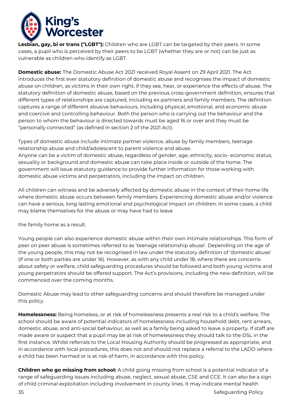

**Lesbian, gay, bi or trans ("LGBT"):** Children who are LGBT can be targeted by their peers. In some cases, a pupil who is perceived by their peers to be LGBT (whether they are or not) can be just as vulnerable as children who identify as LGBT.

**Domestic abuse:** The Domestic Abuse Act 2021 received Royal Assent on 29 April 2021. The Act introduces the first ever statutory definition of domestic abuse and recognises the impact of domestic abuse on children, as victims in their own right, if they see, hear, or experience the effects of abuse. The statutory definition of domestic abuse, based on the previous cross-government definition, ensures that different types of relationships are captured, including ex-partners and family members. The definition captures a range of different abusive behaviours, including physical, emotional, and economic abuse and coercive and controlling behaviour. Both the person who is carrying out the behaviour and the person to whom the behaviour is directed towards must be aged 16 or over and they must be "personally connected" (as defined in section 2 of the 2021 Act).

Types of domestic abuse include intimate partner violence, abuse by family members, teenage relationship abuse and child/adolescent to parent violence and abuse. Anyone can be a victim of domestic abuse, regardless of gender, age, ethnicity, socio- economic status, sexuality or background and domestic abuse can take place inside or outside of the home. The government will issue statutory guidance to provide further information for those working with domestic abuse victims and perpetrators, including the impact on children.

All children can witness and be adversely affected by domestic abuse in the context of their home life where domestic abuse occurs between family members. Experiencing domestic abuse and/or violence can have a serious, long lasting emotional and psychological impact on children. In some cases, a child may blame themselves for the abuse or may have had to leave

the family home as a result.

Young people can also experience domestic abuse within their own intimate relationships. This form of peer on peer abuse is sometimes referred to as 'teenage relationship abuse'. Depending on the age of the young people, this may not be recognised in law under the statutory definition of 'domestic abuse' (if one or both parties are under 16). However, as with any child under 18, where there are concerns about safety or welfare, child safeguarding procedures should be followed and both young victims and young perpetrators should be offered support. The Act's provisions, including the new definition, will be commenced over the coming months.

Domestic Abuse may lead to other safeguarding concerns and should therefore be managed under this policy.

**Homelessness:** Being homeless, or at risk of homelessness presents a real risk to a child's welfare. The school should be aware of potential indicators of homelessness including household debt, rent arrears, domestic abuse, and anti-social behaviour, as well as a family being asked to leave a property. If staff are made aware or suspect that a pupil may be at risk of homelessness they should talk to the DSL in the first instance. Whilst referrals to the Local Housing Authority should be progressed as appropriate, and in accordance with local procedures, this does not and should not replace a referral to the LADO where a child has been harmed or is at risk of harm, in accordance with this policy.

**Children who go missing from school:** A child going missing from school is a potential indicator of a range of safeguarding issues including abuse, neglect, sexual abuse, CSE and CCE. It can also be a sign of child criminal exploitation including involvement in county lines. It may indicate mental health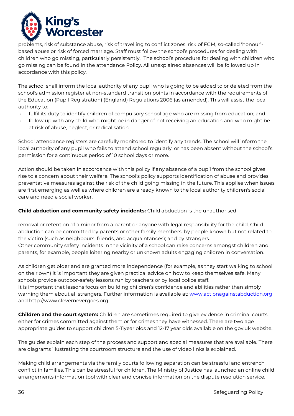

problems, risk of substance abuse, risk of travelling to conflict zones, risk of FGM, so-called 'honour' based abuse or risk of forced marriage. Staff must follow the school's procedures for dealing with children who go missing, particularly persistently.The school's procedure for dealing with children who go missing can be found in the attendance Policy. All unexplained absences will be followed up in accordance with this policy.

The school shall inform the local authority of any pupil who is going to be added to or deleted from the school's admission register at non-standard transition points in accordance with the requirements of the Education (Pupil Registration) (England) Regulations 2006 (as amended). This will assist the local authority to:

- fulfil its duty to identify children of compulsory school age who are missing from education; and
- follow up with any child who might be in danger of not receiving an education and who might be at risk of abuse, neglect, or radicalisation.

School attendance registers are carefully monitored to identify any trends. The school will inform the local authority of any pupil who fails to attend school regularly, or has been absent without the school's permission for a continuous period of 10 school days or more.

Action should be taken in accordance with this policy if any absence of a pupil from the school gives rise to a concern about their welfare. The school's policy supports identification of abuse and provides preventative measures against the risk of the child going missing in the future. This applies when issues are first emerging as well as where children are already known to the local authority children's social care and need a social worker.

#### **Child abduction and community safety incidents:** Child abduction is the unauthorised

removal or retention of a minor from a parent or anyone with legal responsibility for the child. Child abduction can be committed by parents or other family members; by people known but not related to the victim (such as neighbours, friends, and acquaintances); and by strangers. Other community safety incidents in the vicinity of a school can raise concerns amongst children and parents, for example, people loitering nearby or unknown adults engaging children in conversation.

As children get older and are granted more independence (for example, as they start walking to school on their own) it is important they are given practical advice on how to keep themselves safe. Many schools provide outdoor-safety lessons run by teachers or by local police staff.

It is important that lessons focus on building children's confidence and abilities rather than simply warning them about all strangers. Further information is available at: [www.actionagainstabduction.org](http://www.actionagainstabduction.org/) and [http://www.clevernevergoes.org](http://www.clevernevergoes.org/) 

**Children and the court system:** Children are sometimes required to give evidence in criminal courts, either for crimes committed against them or for crimes they have witnessed. There are two age appropriate guides to support children 5-11year olds and 12-17 year olds available on the gov.uk website.

The guides explain each step of the process and support and special measures that are available. There are diagrams illustrating the courtroom structure and the use of video links is explained.

Making child arrangements via the family courts following separation can be stressful and entrench conflict in families. This can be stressful for children. The Ministry of Justice has launched an online child arrangements information tool with clear and concise information on the dispute resolution service.